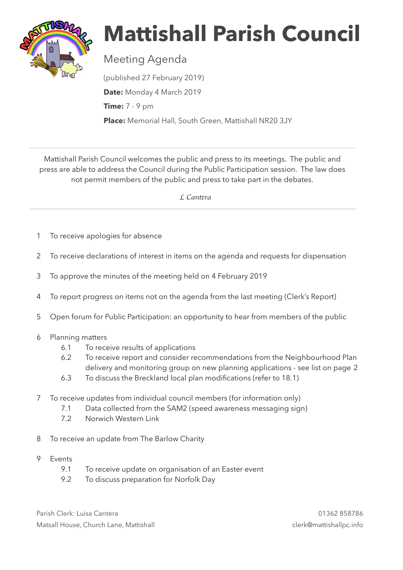

## **Mattishall Parish Council**

Meeting Agenda

(published 27 February 2019) **Date:** Monday 4 March 2019 **Time:** 7 - 9 pm **Place:** Memorial Hall, South Green, Mattishall NR20 3JY

Mattishall Parish Council welcomes the public and press to its meetings. The public and press are able to address the Council during the Public Participation session. The law does not permit members of the public and press to take part in the debates.

 *L Can*t*ra* 

- 1 To receive apologies for absence
- 2 To receive declarations of interest in items on the agenda and requests for dispensation
- 3 To approve the minutes of the meeting held on 4 February 2019
- 4 To report progress on items not on the agenda from the last meeting (Clerk's Report)
- 5 Open forum for Public Participation: an opportunity to hear from members of the public
- 6 Planning matters
	- 6.1 To receive results of applications
	- 6.2 To receive report and consider recommendations from the Neighbourhood Plan delivery and monitoring group on new planning applications - see list on page 2
	- 6.3 To discuss the Breckland local plan modifications (refer to 18.1)
- 7 To receive updates from individual council members (for information only)
	- 7.1 Data collected from the SAM2 (speed awareness messaging sign)
	- 7.2 Norwich Western Link
- 8 To receive an update from The Barlow Charity
- 9 Events
	- 9.1 To receive update on organisation of an Easter event
	- 9.2 To discuss preparation for Norfolk Day

Parish Clerk: Luisa Cantera 01362 858786 Matsall House, Church Lane, Mattishall clerk@mattishallpc.info